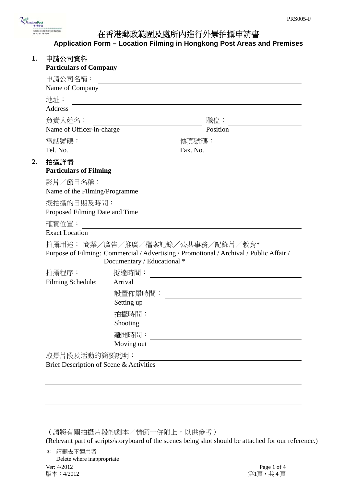

# 在香港郵政範圍及處所內進行外景拍攝申請書 **Application Form – Location Filming in Hongkong Post Areas and Premises**

| 申請公司資料<br><b>Particulars of Company</b>   |                             |                                                                                                                             |
|-------------------------------------------|-----------------------------|-----------------------------------------------------------------------------------------------------------------------------|
|                                           |                             |                                                                                                                             |
| 申請公司名稱:<br>Name of Company                |                             |                                                                                                                             |
|                                           |                             |                                                                                                                             |
| 地址:<br>Address                            |                             |                                                                                                                             |
|                                           |                             |                                                                                                                             |
| 負責人姓名:<br>Name of Officer-in-charge       |                             | 職位:<br>Position                                                                                                             |
|                                           |                             |                                                                                                                             |
| 電話號碼:<br>Tel. No.                         |                             | 傳真號碼:<br>Fax. No.                                                                                                           |
|                                           |                             |                                                                                                                             |
| 拍攝詳情<br><b>Particulars of Filming</b>     |                             |                                                                                                                             |
|                                           |                             |                                                                                                                             |
| 影片/節目名稱:<br>Name of the Filming/Programme |                             |                                                                                                                             |
|                                           |                             |                                                                                                                             |
| 擬拍攝的日期及時間:                                |                             |                                                                                                                             |
| Proposed Filming Date and Time            |                             |                                                                                                                             |
| 確實位置:<br><b>Exact Location</b>            |                             |                                                                                                                             |
|                                           |                             |                                                                                                                             |
|                                           | Documentary / Educational * | 拍攝用途: 商業/廣告/推廣/檔案記錄/公共事務/記錄片/教育*<br>Purpose of Filming: Commercial / Advertising / Promotional / Archival / Public Affair / |
| 拍攝程序:                                     | 抵達時間:                       |                                                                                                                             |
| <b>Filming Schedule:</b>                  | Arrival                     |                                                                                                                             |
|                                           | 設置佈景時間:                     |                                                                                                                             |
|                                           | Setting up                  |                                                                                                                             |
|                                           | 拍攝時間:                       |                                                                                                                             |
|                                           | Shooting                    |                                                                                                                             |
|                                           | 離開時間:                       |                                                                                                                             |
|                                           | Moving out                  |                                                                                                                             |
| 取景片段及活動的簡要說明:                             |                             |                                                                                                                             |
| Brief Description of Scene & Activities   |                             |                                                                                                                             |

(請將有關拍攝片段的劇本/情節一併附上,以供參考)

(Relevant part of scripts/storyboard of the scenes being shot should be attached for our reference.)

Ver: 4/2012 Page 1 of 4<br>版本:4/2012 Page 1 of 4 \* 請刪去不適用者 Delete where inappropriate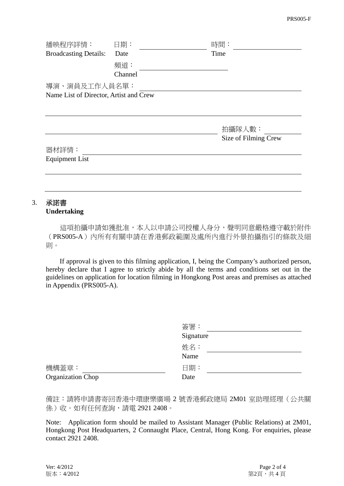| 播映程序詳情:                                | 日期:     |  | 時間:                  |  |  |
|----------------------------------------|---------|--|----------------------|--|--|
| <b>Broadcasting Details:</b>           | Date    |  | Time                 |  |  |
|                                        | 頻道:     |  |                      |  |  |
|                                        | Channel |  |                      |  |  |
| 導演、演員及工作人員名單:                          |         |  |                      |  |  |
| Name List of Director, Artist and Crew |         |  |                      |  |  |
|                                        |         |  |                      |  |  |
|                                        |         |  |                      |  |  |
|                                        |         |  | 拍攝隊人數:               |  |  |
|                                        |         |  | Size of Filming Crew |  |  |
| 器材詳情:                                  |         |  |                      |  |  |
| <b>Equipment List</b>                  |         |  |                      |  |  |
|                                        |         |  |                      |  |  |
|                                        |         |  |                      |  |  |
|                                        |         |  |                      |  |  |

## 3. 承諾書 **Undertaking**

 這項拍攝申請如獲批准,本人以申請公司授權人身分,聲明同意嚴格遵守載於附件 (PRS005-A)內所有有關申請在香港郵政範圍及處所內進行外景拍攝指引的條款及細 則。

 If approval is given to this filming application, I, being the Company's authorized person, hereby declare that I agree to strictly abide by all the terms and conditions set out in the guidelines on application for location filming in Hongkong Post areas and premises as attached in Appendix (PRS005-A).

|                            | 簽署:<br>Signature |
|----------------------------|------------------|
|                            | 姓名:<br>Name      |
| 機構蓋章:<br>Organization Chop | 日期:<br>Date      |

備註:請將申請書寄回香港中環康樂廣場 2 號香港郵政總局 2M01 室助理經理(公共關 係)收。如有任何查詢,請電 2921 2408。

Note: Application form should be mailed to Assistant Manager (Public Relations) at 2M01, Hongkong Post Headquarters, 2 Connaught Place, Central, Hong Kong. For enquiries, please contact 2921 2408.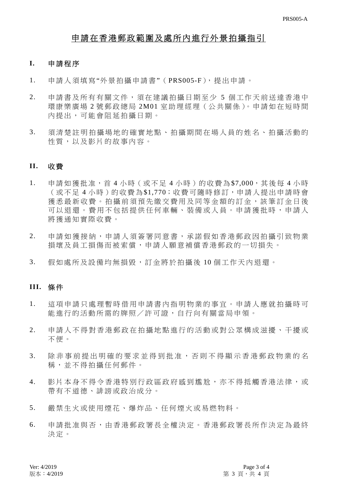## 申請在香港郵政範圍及處所內進行外景拍攝指引

### **I.** 申請程序

- 1. 申請人須填寫"外景拍攝申請書"( PRS005-F),提出申請。
- 2. 申請書及所有有關文件,須在建議拍攝日期至少 5 個工作天前送達香港中 環康樂廣場 2 號郵政總局 2M01 室助理經理(公共關係)。申請如在短時間 內提出,可能會阻延拍攝日期。
- 3. 須清楚註明拍攝場地的確實地點、拍 攝期間在場人員的姓名、拍攝活動的 性質,以及影片的故事內容。

#### **II.** 收 費

- 1. 申請如獲批准, 首 4 小時 ( 或不足 4 小時) 的收費為\$7,000, 其後每 4 小時 (或不足 4 小時)的收費為\$1,770;收費可隨時修訂,申請人提出申請時會 獲悉最新收費。拍攝前須預先繳交費用及同等金額的訂金,該筆訂金日後 可以狠還。費用不包括提供任何車輛、裝備或人員。申請獲批時,申請人 將獲通知實際收費。
- 2. 申請如獲接納,申請人須簽署同意書,承諾假如香港郵政因拍攝引致物業 損壞及員工損傷而被索償,申請人願意補償香港郵政的一切損失。
- 3. 假如處所及設備均無損毀,訂金將於拍攝後 10 個工作天內退還。

### **III.** 條 件

- 1. 這項申請只處理暫時借用申請書內指明物業的事宜。申請人應就拍攝時可 能進行的活動所需的牌照/許可證,自行向有關當局申領。
- 2. 申請人不得對香港郵政在拍攝地點進 行的活動或對公眾構成滋擾、干擾或 不便。
- 3. 除非事前提出明確的要求並得到批准 ,否則不得顯示香港郵政物業的名 稱,並不得拍攝任何郵件。
- 4. 影片本身不得令香港特別行政區政府感到尷尬,亦不得抵觸香港法律,或 帶有不道德、誹謗或政治成分。
- 5. 嚴禁生火或使用煙花、爆炸品 、任何煙火或易燃物料。
- 6. 申請批准與否,由香港郵政署長全權 決定。香港郵政署長所作決定為最終 決定。